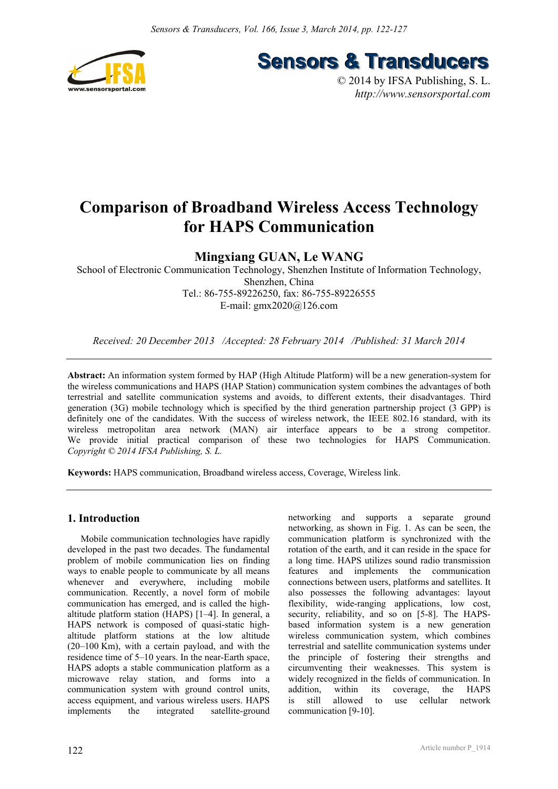

**Sensors & Transducers** 

© 2014 by IFSA Publishing, S. L. *http://www.sensorsportal.com*

# **Comparison of Broadband Wireless Access Technology for HAPS Communication**

### **Mingxiang GUAN, Le WANG**

School of Electronic Communication Technology, Shenzhen Institute of Information Technology, Shenzhen, China Tel.: 86-755-89226250, fax: 86-755-89226555 E-mail: gmx2020@126.com

*Received: 20 December 2013 /Accepted: 28 February 2014 /Published: 31 March 2014* 

**Abstract:** An information system formed by HAP (High Altitude Platform) will be a new generation-system for the wireless communications and HAPS (HAP Station) communication system combines the advantages of both terrestrial and satellite communication systems and avoids, to different extents, their disadvantages. Third generation (3G) mobile technology which is specified by the third generation partnership project (3 GPP) is definitely one of the candidates. With the success of wireless network, the IEEE 802.16 standard, with its wireless metropolitan area network (MAN) air interface appears to be a strong competitor. We provide initial practical comparison of these two technologies for HAPS Communication. *Copyright © 2014 IFSA Publishing, S. L.*

**Keywords:** HAPS communication, Broadband wireless access, Coverage, Wireless link.

#### **1. Introduction**

Mobile communication technologies have rapidly developed in the past two decades. The fundamental problem of mobile communication lies on finding ways to enable people to communicate by all means whenever and everywhere, including mobile communication. Recently, a novel form of mobile communication has emerged, and is called the highaltitude platform station (HAPS) [1–4]. In general, a HAPS network is composed of quasi-static highaltitude platform stations at the low altitude (20–100 Km), with a certain payload, and with the residence time of 5–10 years. In the near-Earth space, HAPS adopts a stable communication platform as a microwave relay station, and forms into a communication system with ground control units, access equipment, and various wireless users. HAPS implements the integrated satellite-ground networking and supports a separate ground networking, as shown in Fig. 1. As can be seen, the communication platform is synchronized with the rotation of the earth, and it can reside in the space for a long time. HAPS utilizes sound radio transmission features and implements the communication connections between users, platforms and satellites. It also possesses the following advantages: layout flexibility, wide-ranging applications, low cost, security, reliability, and so on [5-8]. The HAPSbased information system is a new generation wireless communication system, which combines terrestrial and satellite communication systems under the principle of fostering their strengths and circumventing their weaknesses. This system is widely recognized in the fields of communication. In addition, within its coverage, the HAPS is still allowed to use cellular network communication [9-10].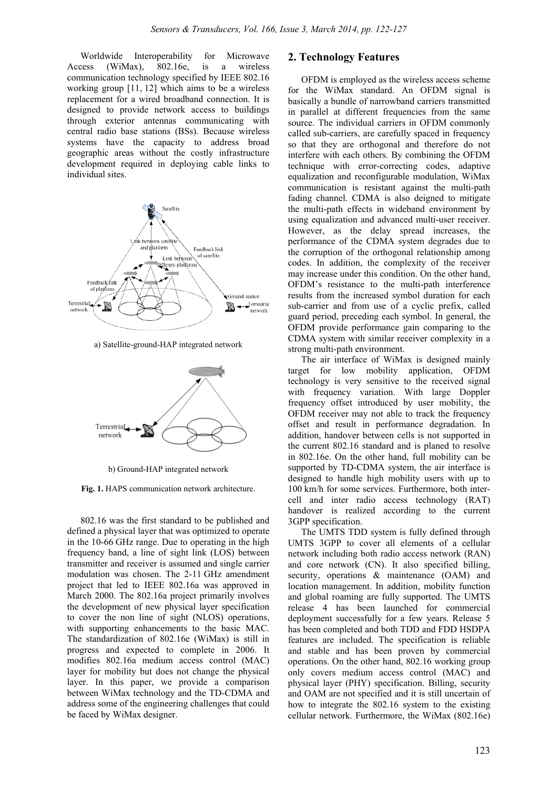Worldwide Interoperability for Microwave<br>cess (WiMax), 802.16e is a wireless Access (WiMax), 802.16e, is a wireless communication technology specified by IEEE 802.16 working group [11, 12] which aims to be a wireless replacement for a wired broadband connection. It is designed to provide network access to buildings through exterior antennas communicating with central radio base stations (BSs). Because wireless systems have the capacity to address broad geographic areas without the costly infrastructure development required in deploying cable links to individual sites.



a) Satellite-ground-HAP integrated network



b) Ground-HAP integrated network

**Fig. 1.** HAPS communication network architecture.

802.16 was the first standard to be published and defined a physical layer that was optimized to operate in the 10-66 GHz range. Due to operating in the high frequency band, a line of sight link (LOS) between transmitter and receiver is assumed and single carrier modulation was chosen. The 2-11 GHz amendment project that led to IEEE 802.16a was approved in March 2000. The 802.16a project primarily involves the development of new physical layer specification to cover the non line of sight (NLOS) operations, with supporting enhancements to the basic MAC. The standardization of 802.16e (WiMax) is still in progress and expected to complete in 2006. It modifies 802.16a medium access control (MAC) layer for mobility but does not change the physical layer. In this paper, we provide a comparison between WiMax technology and the TD-CDMA and address some of the engineering challenges that could be faced by WiMax designer.

#### **2. Technology Features**

OFDM is employed as the wireless access scheme for the WiMax standard. An OFDM signal is basically a bundle of narrowband carriers transmitted in parallel at different frequencies from the same source. The individual carriers in OFDM commonly called sub-carriers, are carefully spaced in frequency so that they are orthogonal and therefore do not interfere with each others. By combining the OFDM technique with error-correcting codes, adaptive equalization and reconfigurable modulation, WiMax communication is resistant against the multi-path fading channel. CDMA is also deigned to mitigate the multi-path effects in wideband environment by using equalization and advanced multi-user receiver. However, as the delay spread increases, the performance of the CDMA system degrades due to the corruption of the orthogonal relationship among codes. In addition, the complexity of the receiver may increase under this condition. On the other hand, OFDM's resistance to the multi-path interference results from the increased symbol duration for each sub-carrier and from use of a cyclic prefix, called guard period, preceding each symbol. In general, the OFDM provide performance gain comparing to the CDMA system with similar receiver complexity in a strong multi-path environment.

The air interface of WiMax is designed mainly target for low mobility application, OFDM technology is very sensitive to the received signal with frequency variation. With large Doppler frequency offset introduced by user mobility, the OFDM receiver may not able to track the frequency offset and result in performance degradation. In addition, handover between cells is not supported in the current 802.16 standard and is planed to resolve in 802.16e. On the other hand, full mobility can be supported by TD-CDMA system, the air interface is designed to handle high mobility users with up to 100 km/h for some services. Furthermore, both intercell and inter radio access technology (RAT) handover is realized according to the current 3GPP specification.

The UMTS TDD system is fully defined through UMTS 3GPP to cover all elements of a cellular network including both radio access network (RAN) and core network (CN). It also specified billing, security, operations & maintenance (OAM) and location management. In addition, mobility function and global roaming are fully supported. The UMTS release 4 has been launched for commercial deployment successfully for a few years. Release 5 has been completed and both TDD and FDD HSDPA features are included. The specification is reliable and stable and has been proven by commercial operations. On the other hand, 802.16 working group only covers medium access control (MAC) and physical layer (PHY) specification. Billing, security and OAM are not specified and it is still uncertain of how to integrate the 802.16 system to the existing cellular network. Furthermore, the WiMax (802.16e)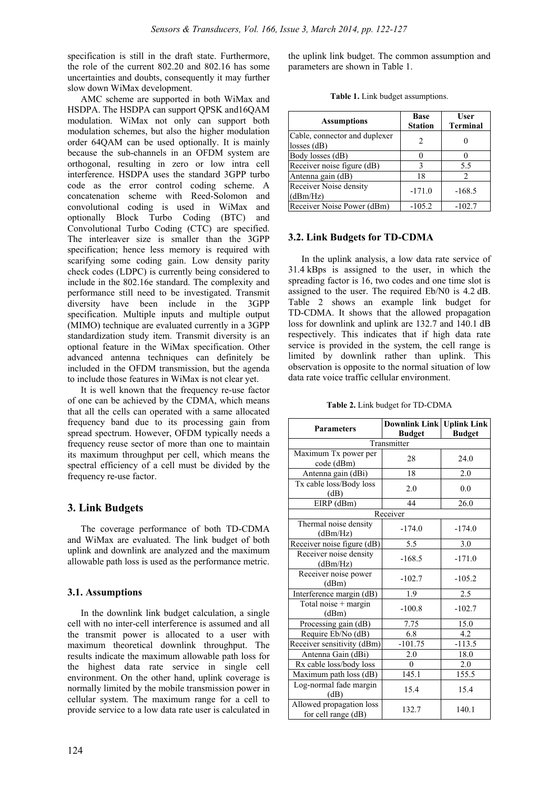specification is still in the draft state. Furthermore, the role of the current 802.20 and 802.16 has some uncertainties and doubts, consequently it may further slow down WiMax development.

AMC scheme are supported in both WiMax and HSDPA. The HSDPA can support QPSK and16QAM modulation. WiMax not only can support both modulation schemes, but also the higher modulation order 64QAM can be used optionally. It is mainly because the sub-channels in an OFDM system are orthogonal, resulting in zero or low intra cell interference. HSDPA uses the standard 3GPP turbo code as the error control coding scheme. A concatenation scheme with Reed-Solomon and convolutional coding is used in WiMax and optionally Block Turbo Coding (BTC) and Convolutional Turbo Coding (CTC) are specified. The interleaver size is smaller than the 3GPP specification; hence less memory is required with scarifying some coding gain. Low density parity check codes (LDPC) is currently being considered to include in the 802.16e standard. The complexity and performance still need to be investigated. Transmit diversity have been include in the 3GPP specification. Multiple inputs and multiple output (MIMO) technique are evaluated currently in a 3GPP standardization study item. Transmit diversity is an optional feature in the WiMax specification. Other advanced antenna techniques can definitely be included in the OFDM transmission, but the agenda to include those features in WiMax is not clear yet.

It is well known that the frequency re-use factor of one can be achieved by the CDMA, which means that all the cells can operated with a same allocated frequency band due to its processing gain from spread spectrum. However, OFDM typically needs a frequency reuse sector of more than one to maintain its maximum throughput per cell, which means the spectral efficiency of a cell must be divided by the frequency re-use factor.

#### **3. Link Budgets**

The coverage performance of both TD-CDMA and WiMax are evaluated. The link budget of both uplink and downlink are analyzed and the maximum allowable path loss is used as the performance metric.

#### **3.1. Assumptions**

In the downlink link budget calculation, a single cell with no inter-cell interference is assumed and all the transmit power is allocated to a user with maximum theoretical downlink throughput. The results indicate the maximum allowable path loss for the highest data rate service in single cell environment. On the other hand, uplink coverage is normally limited by the mobile transmission power in cellular system. The maximum range for a cell to provide service to a low data rate user is calculated in

the uplink link budget. The common assumption and parameters are shown in Table 1.

|  |  |  |  | Table 1. Link budget assumptions. |
|--|--|--|--|-----------------------------------|
|--|--|--|--|-----------------------------------|

| <b>Assumptions</b>                             | Base<br><b>Station</b> | <b>User</b><br><b>Terminal</b> |
|------------------------------------------------|------------------------|--------------------------------|
| Cable, connector and duplexer<br>$losses$ (dB) |                        |                                |
| Body losses (dB)                               |                        |                                |
| Receiver noise figure (dB)                     |                        | 5.5                            |
| Antenna gain (dB)                              | 18                     |                                |
| Receiver Noise density<br>(dBm/Hz)             | $-171.0$               | $-168.5$                       |
| Receiver Noise Power (dBm)                     | $-105.2$               | $-102.7$                       |

#### **3.2. Link Budgets for TD-CDMA**

In the uplink analysis, a low data rate service of 31.4 kBps is assigned to the user, in which the spreading factor is 16, two codes and one time slot is assigned to the user. The required Eb/N0 is 4.2 dB. Table 2 shows an example link budget for TD-CDMA. It shows that the allowed propagation loss for downlink and uplink are 132.7 and 140.1 dB respectively. This indicates that if high data rate service is provided in the system, the cell range is limited by downlink rather than uplink. This observation is opposite to the normal situation of low data rate voice traffic cellular environment.

|  |  | <b>Table 2.</b> Link budget for TD-CDMA |
|--|--|-----------------------------------------|
|  |  |                                         |

| <b>Parameters</b>                                        | <b>Downlink Link   Uplink Link</b><br><b>Budget</b> | <b>Budget</b> |  |  |  |  |
|----------------------------------------------------------|-----------------------------------------------------|---------------|--|--|--|--|
| Transmitter                                              |                                                     |               |  |  |  |  |
| Maximum Tx power per<br>code (dBm)                       | 28                                                  | 24.0          |  |  |  |  |
| Antenna gain (dBi)                                       | 18                                                  | 2.0           |  |  |  |  |
| Tx cable loss/Body loss<br>(dB)                          | 2.0                                                 | 0.0           |  |  |  |  |
| EIRP (dBm)                                               | 44                                                  | 26.0          |  |  |  |  |
|                                                          | Receiver                                            |               |  |  |  |  |
| Thermal noise density<br>(dBm/Hz)                        | $-174.0$                                            | $-174.0$      |  |  |  |  |
| Receiver noise figure (dB)                               | 5.5                                                 | 3.0           |  |  |  |  |
| Receiver noise density<br>(dBm/Hz)                       | $-168.5$                                            | $-171.0$      |  |  |  |  |
| Receiver noise power<br>(dBm)                            | $-102.7$                                            | $-105.2$      |  |  |  |  |
| Interference margin (dB)                                 | 1.9                                                 | 2.5           |  |  |  |  |
| $\overline{\text{Total noise}} + \text{margin}$<br>(dBm) | $-100.8$                                            | $-102.7$      |  |  |  |  |
| Processing gain (dB)                                     | 7.75                                                | 15.0          |  |  |  |  |
| Require Eb/No (dB)                                       | 6.8                                                 | 4.2           |  |  |  |  |
| Receiver sensitivity (dBm)                               | $-101.75$                                           | $-113.5$      |  |  |  |  |
| Antenna Gain (dBi)                                       | 2.0                                                 | 18.0          |  |  |  |  |
| Rx cable loss/body loss                                  | $\Omega$                                            | 2.0           |  |  |  |  |
| Maximum path loss (dB)                                   | 145.1                                               | 155.5         |  |  |  |  |
| Log-normal fade margin<br>(dB)                           | 15.4                                                | 15.4          |  |  |  |  |
| Allowed propagation loss<br>for cell range (dB)          | 132.7                                               | 140.1         |  |  |  |  |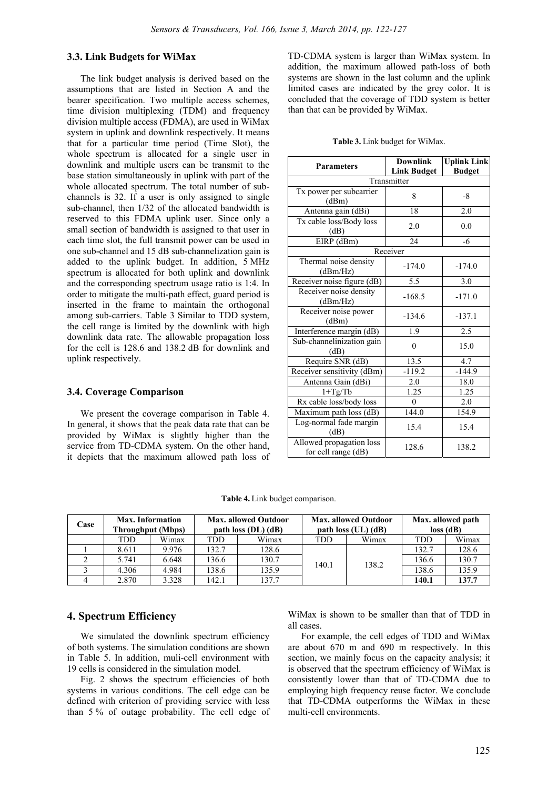#### **3.3. Link Budgets for WiMax**

The link budget analysis is derived based on the assumptions that are listed in Section A and the bearer specification. Two multiple access schemes, time division multiplexing (TDM) and frequency division multiple access (FDMA), are used in WiMax system in uplink and downlink respectively. It means that for a particular time period (Time Slot), the whole spectrum is allocated for a single user in downlink and multiple users can be transmit to the base station simultaneously in uplink with part of the whole allocated spectrum. The total number of subchannels is 32. If a user is only assigned to single sub-channel, then 1/32 of the allocated bandwidth is reserved to this FDMA uplink user. Since only a small section of bandwidth is assigned to that user in each time slot, the full transmit power can be used in one sub-channel and 15 dB sub-channelization gain is added to the uplink budget. In addition, 5 MHz spectrum is allocated for both uplink and downlink and the corresponding spectrum usage ratio is 1:4. In order to mitigate the multi-path effect, guard period is inserted in the frame to maintain the orthogonal among sub-carriers. Table 3 Similar to TDD system, the cell range is limited by the downlink with high downlink data rate. The allowable propagation loss for the cell is 128.6 and 138.2 dB for downlink and uplink respectively.

#### **3.4. Coverage Comparison**

We present the coverage comparison in Table 4. In general, it shows that the peak data rate that can be provided by WiMax is slightly higher than the service from TD-CDMA system. On the other hand, it depicts that the maximum allowed path loss of TD-CDMA system is larger than WiMax system. In addition, the maximum allowed path-loss of both systems are shown in the last column and the uplink limited cases are indicated by the grey color. It is concluded that the coverage of TDD system is better than that can be provided by WiMax.

| <b>Parameters</b>                               | <b>Downlink</b><br><b>Link Budget</b> | <b>Uplink Link</b><br><b>Budget</b> |  |  |  |  |
|-------------------------------------------------|---------------------------------------|-------------------------------------|--|--|--|--|
| Transmitter                                     |                                       |                                     |  |  |  |  |
| Tx power per subcarrier<br>(dBm)                | 8                                     | $-8$                                |  |  |  |  |
| Antenna gain (dBi)                              | 18                                    | $2.0\,$                             |  |  |  |  |
| Tx cable loss/Body loss<br>(dB)                 | 2.0                                   | 0.0                                 |  |  |  |  |
| EIRP (dBm)                                      | 24                                    | $-6$                                |  |  |  |  |
|                                                 | Receiver                              |                                     |  |  |  |  |
| Thermal noise density<br>(dBm/Hz)               | $-174.0$                              | $-174.0$                            |  |  |  |  |
| Receiver noise figure (dB)                      | 5.5                                   | 3.0                                 |  |  |  |  |
| Receiver noise density<br>(dBm/Hz)              | $-168.5$                              | $-171.0$                            |  |  |  |  |
| Receiver noise power<br>(dBm)                   | $-134.6$                              | $-137.1$                            |  |  |  |  |
| Interference margin (dB)                        | 1.9                                   | 2.5                                 |  |  |  |  |
| Sub-channelinization gain<br>(dB)               | $\mathbf{0}$                          | 15.0                                |  |  |  |  |
| Require SNR (dB)                                | 13.5                                  | 4.7                                 |  |  |  |  |
| Receiver sensitivity (dBm)                      | $-119.2$                              | $-144.9$                            |  |  |  |  |
| Antenna Gain (dBi)                              | 2.0                                   | 18.0                                |  |  |  |  |
| $1+Tg/Tb$                                       | 1.25                                  | 1.25                                |  |  |  |  |
| Rx cable loss/body loss                         | $\Omega$                              | 2.0                                 |  |  |  |  |
| Maximum path loss (dB)                          | 144.0                                 | 154.9                               |  |  |  |  |
| Log-normal fade margin<br>(dB)                  | 15.4                                  | 15.4                                |  |  |  |  |
| Allowed propagation loss<br>for cell range (dB) | 128.6                                 | 138.2                               |  |  |  |  |

**Table 3.** Link budget for WiMax.

**Table 4.** Link budget comparison.

| Case | <b>Max.</b> Information<br><b>Throughput (Mbps)</b> |       | <b>Max. allowed Outdoor</b><br>path loss $(DL)$ $(dB)$ |       | <b>Max. allowed Outdoor</b><br>path loss (UL) (dB) |       | Max. allowed path<br>$loss$ $(dB)$ |       |
|------|-----------------------------------------------------|-------|--------------------------------------------------------|-------|----------------------------------------------------|-------|------------------------------------|-------|
|      | TDD                                                 | Wimax | <b>TDD</b>                                             | Wimax | TDD                                                | Wimax | TDD                                | Wimax |
|      | 8.611                                               | 9.976 | 132.7                                                  | 128.6 |                                                    |       | 132.7                              | 128.6 |
|      | 5.741                                               | 6.648 | 136.6                                                  | 130.7 | 140.1                                              | 138.2 | 136.6                              | 130.7 |
|      | 4.306                                               | 4.984 | 138.6                                                  | 135.9 |                                                    |       | 138.6                              | 135.9 |
|      | 2.870                                               | 3.328 | 142.1                                                  | 137.7 |                                                    |       | 140.1                              | 137.7 |

#### **4. Spectrum Efficiency**

We simulated the downlink spectrum efficiency of both systems. The simulation conditions are shown in Table 5. In addition, muli-cell environment with 19 cells is considered in the simulation model.

Fig. 2 shows the spectrum efficiencies of both systems in various conditions. The cell edge can be defined with criterion of providing service with less than 5 % of outage probability. The cell edge of WiMax is shown to be smaller than that of TDD in all cases.

For example, the cell edges of TDD and WiMax are about 670 m and 690 m respectively. In this section, we mainly focus on the capacity analysis; it is observed that the spectrum efficiency of WiMax is consistently lower than that of TD-CDMA due to employing high frequency reuse factor. We conclude that TD-CDMA outperforms the WiMax in these multi-cell environments.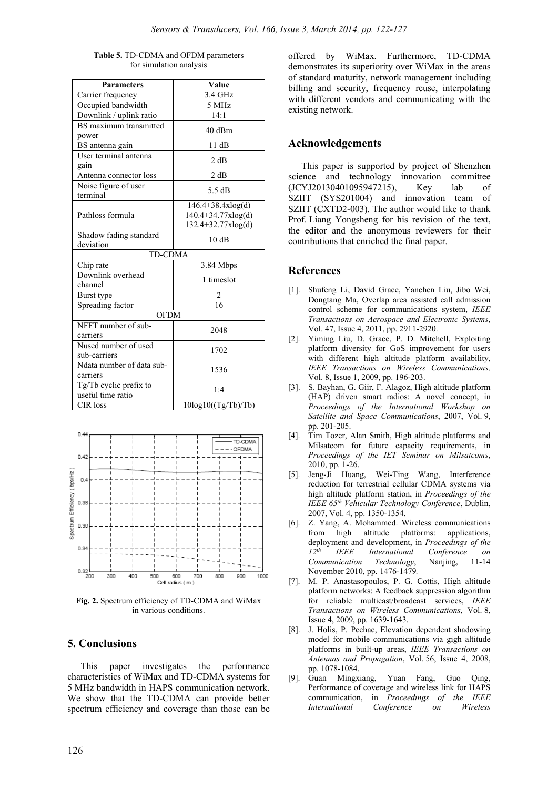| Table 5. TD-CDMA and OFDM parameters |
|--------------------------------------|
| for simulation analysis              |

| <b>Parameters</b>         | Value                   |  |  |  |  |
|---------------------------|-------------------------|--|--|--|--|
| Carrier frequency         | 3.4 GHz                 |  |  |  |  |
| Occupied bandwidth        | 5 MHz                   |  |  |  |  |
| Downlink / uplink ratio   | 14:1                    |  |  |  |  |
| BS maximum transmitted    | 40 dBm                  |  |  |  |  |
| power                     |                         |  |  |  |  |
| BS antenna gain           | 11 dB                   |  |  |  |  |
| User terminal antenna     | 2 dB                    |  |  |  |  |
| gain                      |                         |  |  |  |  |
| Antenna connector loss    | 2 dB                    |  |  |  |  |
| Noise figure of user      | 5.5 dB                  |  |  |  |  |
| terminal                  |                         |  |  |  |  |
|                           | $146.4 + 38.4xlog(d)$   |  |  |  |  |
| Pathloss formula          | 140.4+34.77xlog(d)      |  |  |  |  |
|                           | 132.4+32.77xlog(d)      |  |  |  |  |
| Shadow fading standard    | 10dB                    |  |  |  |  |
| deviation                 |                         |  |  |  |  |
| <b>TD-CDMA</b>            |                         |  |  |  |  |
| Chip rate                 | 3.84 Mbps               |  |  |  |  |
| Downlink overhead         | 1 timeslot              |  |  |  |  |
| channel                   |                         |  |  |  |  |
| Burst type                | 2                       |  |  |  |  |
| Spreading factor          | 16                      |  |  |  |  |
| <b>OFDM</b>               |                         |  |  |  |  |
| NFFT number of sub-       | 2048                    |  |  |  |  |
| carriers                  |                         |  |  |  |  |
| Nused number of used      | 1702                    |  |  |  |  |
| sub-carriers              |                         |  |  |  |  |
| Ndata number of data sub- | 1536                    |  |  |  |  |
| carriers                  |                         |  |  |  |  |
| Tg/Tb cyclic prefix to    | 1:4                     |  |  |  |  |
| useful time ratio         |                         |  |  |  |  |
| <b>CIR</b> loss           | $10\log 10((Tg/Tb)/Tb)$ |  |  |  |  |



**Fig. 2.** Spectrum efficiency of TD-CDMA and WiMax in various conditions.

#### **5. Conclusions**

This paper investigates the performance characteristics of WiMax and TD-CDMA systems for 5 MHz bandwidth in HAPS communication network. We show that the TD-CDMA can provide better spectrum efficiency and coverage than those can be offered by WiMax. Furthermore, TD-CDMA demonstrates its superiority over WiMax in the areas of standard maturity, network management including billing and security, frequency reuse, interpolating with different vendors and communicating with the existing network.

#### **Acknowledgements**

This paper is supported by project of Shenzhen science and technology innovation committee (JCYJ20130401095947215), Key lab of SZIIT (SYS201004) and innovation team of SZIIT (CXTD2-003). The author would like to thank Prof. Liang Yongsheng for his revision of the text, the editor and the anonymous reviewers for their contributions that enriched the final paper.

#### **References**

- [1]. Shufeng Li, David Grace, Yanchen Liu, Jibo Wei, Dongtang Ma, Overlap area assisted call admission control scheme for communications system, *IEEE Transactions on Aerospace and Electronic Systems*, Vol. 47, Issue 4, 2011, pp. 2911-2920.
- [2]. Yiming Liu, D. Grace, P. D. Mitchell, Exploiting platform diversity for GoS improvement for users with different high altitude platform availability, *IEEE Transactions on Wireless Communications,* Vol. 8, Issue 1, 2009, pp. 196-203.
- [3]. S. Bayhan, G. Giir, F. Alagoz, High altitude platform (HAP) driven smart radios: A novel concept, in *Proceedings of the International Workshop on Satellite and Space Communications*, 2007, Vol. 9, pp. 201-205.
- [4]. Tim Tozer, Alan Smith, High altitude platforms and Milsatcom for future capacity requirements, in *Proceedings of the IET Seminar on Milsatcoms*, 2010, pp. 1-26.
- [5]. Jeng-Ji Huang, Wei-Ting Wang, Interference reduction for terrestrial cellular CDMA systems via high altitude platform station, in *Proceedings of the IEEE 65th Vehicular Technology Conference*, Dublin, 2007, Vol. 4, pp. 1350-1354.
- [6]. Z. Yang, A. Mohammed. Wireless communications from high altitude platforms: applications, deployment and development, in *Proceedings of the 12th IEEE International Conference on Communication Technology*, Nanjing, 11-14 November 2010, pp. 1476-1479*.*
- [7]. M. P. Anastasopoulos, P. G. Cottis, High altitude platform networks: A feedback suppression algorithm for reliable multicast/broadcast services, *IEEE Transactions on Wireless Communications*, Vol. 8, Issue 4, 2009, pp. 1639-1643.
- [8]. J. Holis, P. Pechac, Elevation dependent shadowing model for mobile communications via gigh altitude platforms in built-up areas, *IEEE Transactions on Antennas and Propagation*, Vol. 56, Issue 4, 2008, pp. 1078-1084.
- [9]. Guan Mingxiang, Yuan Fang, Guo Qing, Performance of coverage and wireless link for HAPS communication, in *Proceedings of the IEEE International Conference on Wireless*